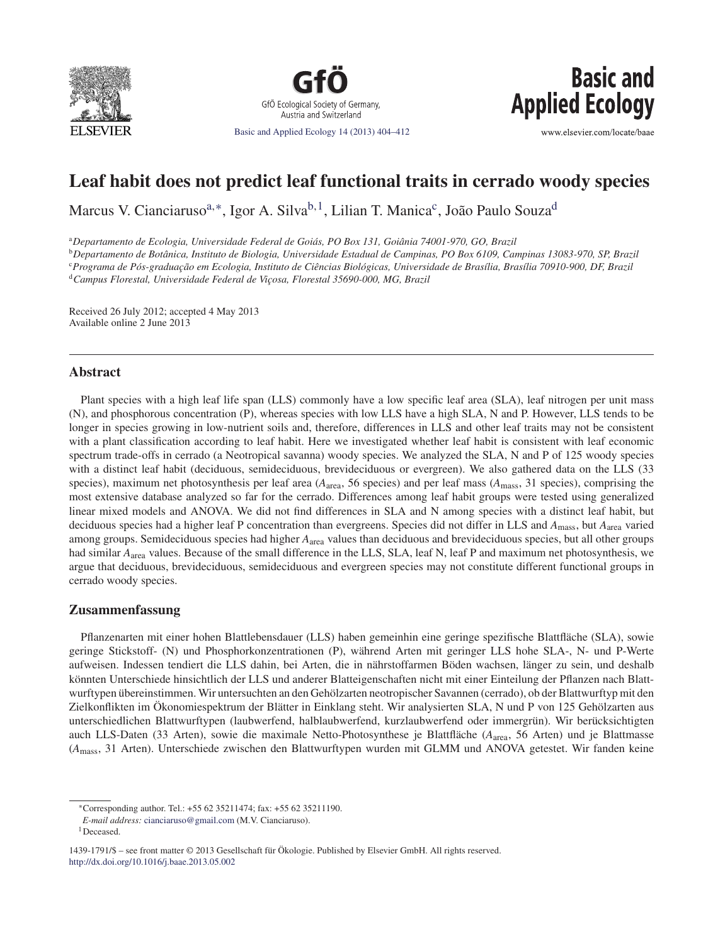



**Basic and Applied Ecology** 

www.elsevier.com/locate/baae

# **Leaf habit does not predict leaf functional traits in cerrado woody species**

Marcus V. Cianciaruso<sup>a,∗</sup>, Igor A. Silva<sup>b, 1</sup>, Lilian T. Manica<sup>c</sup>, João Paulo Souza<sup>d</sup>

<sup>a</sup>*Departamento de Ecologia, Universidade Federal de Goiás, PO Box 131, Goiânia 74001-970, GO, Brazil*

<sup>b</sup>*Departamento de Botânica, Instituto de Biologia, Universidade Estadual de Campinas, PO Box 6109, Campinas 13083-970, SP, Brazil* c *Programa de Pós-gradua¸cão em Ecologia, Instituto de Ciências Biológicas, Universidade de Brasília, Brasília 70910-900, DF, Brazil*

<sup>d</sup> Campus Florestal, Universidade Federal de Viçosa, Florestal 35690-000, MG, Brazil

Received 26 July 2012; accepted 4 May 2013 Available online 2 June 2013

# **Abstract**

Plant species with a high leaf life span (LLS) commonly have a low specific leaf area (SLA), leaf nitrogen per unit mass (N), and phosphorous concentration (P), whereas species with low LLS have a high SLA, N and P. However, LLS tends to be longer in species growing in low-nutrient soils and, therefore, differences in LLS and other leaf traits may not be consistent with a plant classification according to leaf habit. Here we investigated whether leaf habit is consistent with leaf economic spectrum trade-offs in cerrado (a Neotropical savanna) woody species. We analyzed the SLA, N and P of 125 woody species with a distinct leaf habit (deciduous, semideciduous, brevideciduous or evergreen). We also gathered data on the LLS (33 species), maximum net photosynthesis per leaf area (*A*area, 56 species) and per leaf mass (*A*mass, 31 species), comprising the most extensive database analyzed so far for the cerrado. Differences among leaf habit groups were tested using generalized linear mixed models and ANOVA. We did not find differences in SLA and N among species with a distinct leaf habit, but deciduous species had a higher leaf P concentration than evergreens. Species did not differ in LLS and *A*mass, but *A*area varied among groups. Semideciduous species had higher *A*area values than deciduous and brevideciduous species, but all other groups had similar  $A_{area}$  values. Because of the small difference in the LLS, SLA, leaf N, leaf P and maximum net photosynthesis, we argue that deciduous, brevideciduous, semideciduous and evergreen species may not constitute different functional groups in cerrado woody species.

# **Zusammenfassung**

Pflanzenarten mit einer hohen Blattlebensdauer (LLS) haben gemeinhin eine geringe spezifische Blattfläche (SLA), sowie geringe Stickstoff- (N) und Phosphorkonzentrationen (P), während Arten mit geringer LLS hohe SLA-, N- und P-Werte aufweisen. Indessen tendiert die LLS dahin, bei Arten, die in nährstoffarmen Böden wachsen, länger zu sein, und deshalb könnten Unterschiede hinsichtlich der LLS und anderer Blatteigenschaften nicht mit einer Einteilung der Pflanzen nach Blattwurftypen übereinstimmen. Wir untersuchten an den Gehölzarten neotropischer Savannen (cerrado), ob der Blattwurftyp mit den Zielkonflikten im Ökonomiespektrum der Blätter in Einklang steht. Wir analysierten SLA, N und P von 125 Gehölzarten aus unterschiedlichen Blattwurftypen (laubwerfend, halblaubwerfend, kurzlaubwerfend oder immergrün). Wir berücksichtigten auch LLS-Daten (33 Arten), sowie die maximale Netto-Photosynthese je Blattfläche (*A*area, 56 Arten) und je Blattmasse (*A*mass, 31 Arten). Unterschiede zwischen den Blattwurftypen wurden mit GLMM und ANOVA getestet. Wir fanden keine

<sup>∗</sup>Corresponding author. Tel.: +55 62 35211474; fax: +55 62 35211190.

*E-mail address:* [cianciaruso@gmail.com](mailto:cianciaruso@gmail.com) (M.V. Cianciaruso).

<sup>&</sup>lt;sup>1</sup>Deceased.

<sup>1439-1791/\$ –</sup> see front matter © 2013 Gesellschaft für Ökologie. Published by Elsevier GmbH. All rights reserved. [http://dx.doi.org/10.1016/j.baae.2013.05.002](dx.doi.org/10.1016/j.baae.2013.05.002)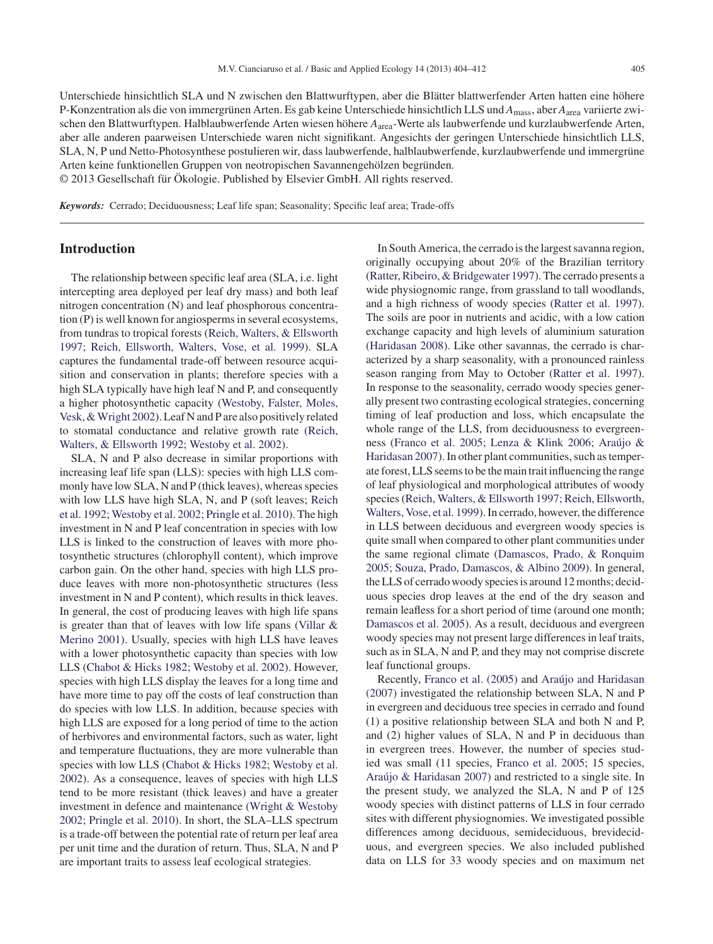Unterschiede hinsichtlich SLA und N zwischen den Blattwurftypen, aber die Blätter blattwerfender Arten hatten eine höhere P-Konzentration als die von immergrünen Arten. Es gab keine Unterschiede hinsichtlich LLS und *A*mass, aber *A*area variierte zwischen den Blattwurftypen. Halblaubwerfende Arten wiesen höhere *A*area-Werte als laubwerfende und kurzlaubwerfende Arten, aber alle anderen paarweisen Unterschiede waren nicht signifikant. Angesichts der geringen Unterschiede hinsichtlich LLS, SLA, N, P und Netto-Photosynthese postulieren wir, dass laubwerfende, halblaubwerfende, kurzlaubwerfende und immergrüne Arten keine funktionellen Gruppen von neotropischen Savannengehölzen begründen. © 2013 Gesellschaft für Ökologie. Published by Elsevier GmbH. All rights reserved.

*Keywords:* Cerrado; Deciduousness; Leaf life span; Seasonality; Specific leaf area; Trade-offs

#### **Introduction**

The relationship between specific leaf area (SLA, i.e. light intercepting area deployed per leaf dry mass) and both leaf nitrogen concentration (N) and leaf phosphorous concentration (P) is well known for angiosperms in several ecosystems, from tundras to tropical forests [\(Reich, Walters, & Ellsworth](#page-7-0) [1997; Reich, Ellsworth, Walters, Vose, et al. 1999\).](#page-7-0) SLA captures the fundamental trade-off between resource acquisition and conservation in plants; therefore species with a high SLA typically have high leaf N and P, and consequently a higher photosynthetic capacity ([Westoby, Falster, Moles,](#page-8-0) [Vesk, & Wright 2002\).](#page-8-0) Leaf N and P are also positively related to stomatal conductance and relative growth rate ([Reich,](#page-7-0) [Walters, & Ellsworth 1992; Westoby et al. 2002\).](#page-7-0)

SLA, N and P also decrease in similar proportions with increasing leaf life span (LLS): species with high LLS commonly have low SLA, N and P (thick leaves), whereas species with low LLS have high SLA, N, and P (soft leaves; [Reich](#page-7-0) [et al. 1992; Westoby et al. 2002; Pringle et al. 2010\).](#page-7-0) The high investment in N and P leaf concentration in species with low LLS is linked to the construction of leaves with more photosynthetic structures (chlorophyll content), which improve carbon gain. On the other hand, species with high LLS produce leaves with more non-photosynthetic structures (less investment in N and P content), which results in thick leaves. In general, the cost of producing leaves with high life spans is greater than that of leaves with low life spans ([Villar &](#page-8-0) [Merino 2001\).](#page-8-0) Usually, species with high LLS have leaves with a lower photosynthetic capacity than species with low LLS ([Chabot & Hicks 1982; Westoby et al. 2002\).](#page-6-0) However, species with high LLS display the leaves for a long time and have more time to pay off the costs of leaf construction than do species with low LLS. In addition, because species with high LLS are exposed for a long period of time to the action of herbivores and environmental factors, such as water, light and temperature fluctuations, they are more vulnerable than species with low LLS [\(Chabot & Hicks 1982; Westoby et al.](#page-6-0) [2002\).](#page-6-0) As a consequence, leaves of species with high LLS tend to be more resistant (thick leaves) and have a greater investment in defence and maintenance ([Wright & Westoby](#page-8-0) [2002; Pringle et al. 2010\).](#page-8-0) In short, the SLA–LLS spectrum is a trade-off between the potential rate of return per leaf area per unit time and the duration of return. Thus, SLA, N and P are important traits to assess leaf ecological strategies.

In South America, the cerrado is the largest savanna region, originally occupying about 20% of the Brazilian territory ([Ratter, Ribeiro, & Bridgewater 1997\).](#page-7-0) The cerrado presents a wide physiognomic range, from grassland to tall woodlands, and a high richness of woody species [\(Ratter et al. 1997\).](#page-7-0) The soils are poor in nutrients and acidic, with a low cation exchange capacity and high levels of aluminium saturation ([Haridasan 2008\).](#page-6-0) Like other savannas, the cerrado is characterized by a sharp seasonality, with a pronounced rainless season ranging from May to October [\(Ratter et al. 1997\).](#page-7-0) In response to the seasonality, cerrado woody species generally present two contrasting ecological strategies, concerning timing of leaf production and loss, which encapsulate the whole range of the LLS, from deciduousness to evergreenness ([Franco et al. 2005; Lenza & Klink 2006; Araújo &](#page-6-0) [Haridasan 2007\).](#page-6-0) In other plant communities, such as temperate forest, LLS seems to be the main trait influencing the range of leaf physiological and morphological attributes of woody species ([Reich, Walters, & Ellsworth 1997; Reich, Ellsworth,](#page-7-0) [Walters, Vose, et al. 1999\).](#page-7-0) In cerrado, however, the difference in LLS between deciduous and evergreen woody species is quite small when compared to other plant communities under the same regional climate [\(Damascos, Prado, & Ronquim](#page-6-0) [2005; Souza, Prado, Damascos, & Albino 2009\).](#page-6-0) In general, the LLS of cerrado woody species is around 12 months; deciduous species drop leaves at the end of the dry season and remain leafless for a short period of time (around one month; [Damascos et al. 2005\).](#page-6-0) As a result, deciduous and evergreen woody species may not present large differences in leaf traits, such as in SLA, N and P, and they may not comprise discrete leaf functional groups.

Recently, [Franco et al. \(2005\)](#page-6-0) and [Araújo and Haridasan](#page-6-0) [\(2007\)](#page-6-0) investigated the relationship between SLA, N and P in evergreen and deciduous tree species in cerrado and found (1) a positive relationship between SLA and both N and P, and (2) higher values of SLA, N and P in deciduous than in evergreen trees. However, the number of species studied was small (11 species, [Franco et al. 2005;](#page-6-0) 15 species, [Araújo & Haridasan 2007\)](#page-6-0) and restricted to a single site. In the present study, we analyzed the SLA, N and P of 125 woody species with distinct patterns of LLS in four cerrado sites with different physiognomies. We investigated possible differences among deciduous, semideciduous, brevideciduous, and evergreen species. We also included published data on LLS for 33 woody species and on maximum net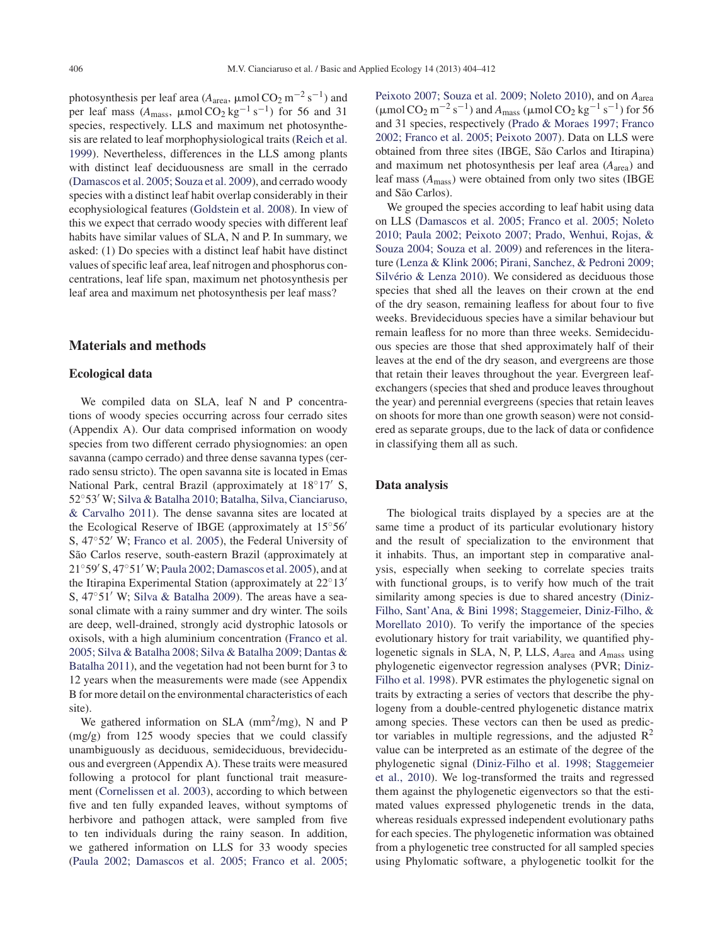photosynthesis per leaf area ( $A<sub>area</sub>$ ,  $\mu$ mol CO<sub>2</sub> m<sup>-2</sup> s<sup>-1</sup>) and per leaf mass  $(A_{\text{mass}}, \mu \text{mol } CO_2 \text{ kg}^{-1} \text{ s}^{-1})$  for 56 and 31 species, respectively. LLS and maximum net photosynthesis are related to leaf morphophysiological traits ([Reich et al.](#page-7-0) [1999\).](#page-7-0) Nevertheless, differences in the LLS among plants with distinct leaf deciduousness are small in the cerrado [\(Damascos et al. 2005; Souza et al. 2009\),](#page-6-0) and cerrado woody species with a distinct leaf habit overlap considerably in their ecophysiological features [\(Goldstein et al. 2008\).](#page-6-0) In view of this we expect that cerrado woody species with different leaf habits have similar values of SLA, N and P. In summary, we asked: (1) Do species with a distinct leaf habit have distinct values of specific leaf area, leaf nitrogen and phosphorus concentrations, leaf life span, maximum net photosynthesis per leaf area and maximum net photosynthesis per leaf mass?

#### **Materials and methods**

#### **Ecological data**

We compiled data on SLA, leaf N and P concentrations of woody species occurring across four cerrado sites (Appendix A). Our data comprised information on woody species from two different cerrado physiognomies: an open savanna (campo cerrado) and three dense savanna types (cerrado sensu stricto). The open savanna site is located in Emas National Park, central Brazil (approximately at 18◦17 S, 52◦53 W; [Silva & Batalha 2010; Batalha, Silva, Cianciaruso,](#page-7-0) [& Carvalho 2011\).](#page-7-0) The dense savanna sites are located at the Ecological Reserve of IBGE (approximately at 15◦56 S, 47<sup>°</sup>52′ W; [Franco et al. 2005\),](#page-6-0) the Federal University of São Carlos reserve, south-eastern Brazil (approximately at 21°59′ S, 47°51′ W; [Paula 2002; Damascos et al. 2005\),](#page-7-0) and at the Itirapina Experimental Station (approximately at 22◦13 S,  $47^{\circ}51'$  W; [Silva & Batalha 2009\).](#page-7-0) The areas have a seasonal climate with a rainy summer and dry winter. The soils are deep, well-drained, strongly acid dystrophic latosols or oxisols, with a high aluminium concentration [\(Franco et al.](#page-6-0) [2005; Silva & Batalha 2008; Silva & Batalha 2009; Dantas &](#page-6-0) [Batalha 2011\),](#page-6-0) and the vegetation had not been burnt for 3 to 12 years when the measurements were made (see Appendix B for more detail on the environmental characteristics of each site).

We gathered information on SLA (mm<sup>2</sup>/mg), N and P (mg/g) from 125 woody species that we could classify unambiguously as deciduous, semideciduous, brevideciduous and evergreen (Appendix A). These traits were measured following a protocol for plant functional trait measurement ([Cornelissen et al. 2003\),](#page-6-0) according to which between five and ten fully expanded leaves, without symptoms of herbivore and pathogen attack, were sampled from five to ten individuals during the rainy season. In addition, we gathered information on LLS for 33 woody species [\(Paula 2002; Damascos et al. 2005; Franco et al. 2005;](#page-7-0)

[Peixoto 2007; Souza et al. 2009; Noleto 2010\),](#page-7-0) and on *A*area  $(\mu$ mol CO<sub>2</sub> m<sup>−2</sup> s<sup>−1</sup>) and *A*<sub>mass</sub> ( $\mu$ mol CO<sub>2</sub> kg<sup>−1</sup> s<sup>−1</sup>) for 56 and 31 species, respectively [\(Prado & Moraes 1997; Franco](#page-7-0) [2002; Franco et al. 2005; Peixoto 2007\).](#page-7-0) Data on LLS were obtained from three sites (IBGE, São Carlos and Itirapina) and maximum net photosynthesis per leaf area (*A*area) and leaf mass (*A*mass) were obtained from only two sites (IBGE and São Carlos).

We grouped the species according to leaf habit using data on LLS [\(Damascos et al. 2005; Franco et al. 2005; Noleto](#page-6-0) [2010; Paula 2002; Peixoto 2007; Prado, Wenhui, Rojas, &](#page-6-0) [Souza 2004; Souza et al. 2009\)](#page-6-0) and references in the literature ([Lenza & Klink 2006; Pirani, Sanchez, & Pedroni 2009;](#page-7-0) [Silvério & Lenza 2010\).](#page-7-0) We considered as deciduous those species that shed all the leaves on their crown at the end of the dry season, remaining leafless for about four to five weeks. Brevideciduous species have a similar behaviour but remain leafless for no more than three weeks. Semideciduous species are those that shed approximately half of their leaves at the end of the dry season, and evergreens are those that retain their leaves throughout the year. Evergreen leafexchangers (species that shed and produce leaves throughout the year) and perennial evergreens (species that retain leaves on shoots for more than one growth season) were not considered as separate groups, due to the lack of data or confidence in classifying them all as such.

#### **Data analysis**

The biological traits displayed by a species are at the same time a product of its particular evolutionary history and the result of specialization to the environment that it inhabits. Thus, an important step in comparative analysis, especially when seeking to correlate species traits with functional groups, is to verify how much of the trait similarity among species is due to shared ancestry [\(Diniz-](#page-6-0)Filho, [Sant'Ana, & Bini 1998; Staggemeier, Diniz-Filho, &](#page-6-0) [Morellato 2010\).](#page-6-0) To verify the importance of the species evolutionary history for trait variability, we quantified phylogenetic signals in SLA, N, P, LLS, *A*area and *A*mass using phylogenetic eigenvector regression analyses (PVR; [Diniz-](#page-6-0)Filho [et al. 1998\).](#page-6-0) PVR estimates the phylogenetic signal on traits by extracting a series of vectors that describe the phylogeny from a double-centred phylogenetic distance matrix among species. These vectors can then be used as predictor variables in multiple regressions, and the adjusted  $\mathbb{R}^2$ value can be interpreted as an estimate of the degree of the phylogenetic signal ([Diniz-Filho et al. 1998; Staggemeier](#page-6-0) [et al., 2010\).](#page-6-0) We log-transformed the traits and regressed them against the phylogenetic eigenvectors so that the estimated values expressed phylogenetic trends in the data, whereas residuals expressed independent evolutionary paths for each species. The phylogenetic information was obtained from a phylogenetic tree constructed for all sampled species using Phylomatic software, a phylogenetic toolkit for the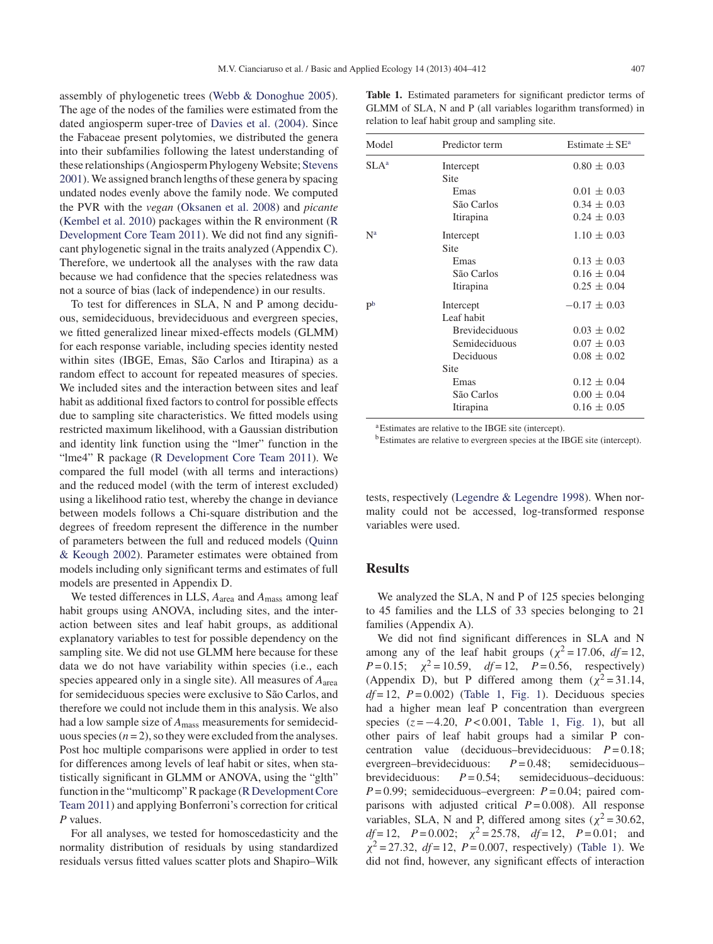assembly of phylogenetic trees [\(Webb & Donoghue 2005\).](#page-8-0) The age of the nodes of the families were estimated from the dated angiosperm super-tree of [Davies et al. \(2004\).](#page-6-0) Since the Fabaceae present polytomies, we distributed the genera into their subfamilies following the latest understanding of these relationships (Angiosperm Phylogeny Website; [Stevens](#page-7-0) [2001\).](#page-7-0) We assigned branch lengths of these genera by spacing undated nodes evenly above the family node. We computed the PVR with the *vegan* ([Oksanen et al. 2008\)](#page-7-0) and *picante* ([Kembel et al. 2010\)](#page-6-0) packages within the R environment [\(R](#page-7-0) [Development Core Team 2011\).](#page-7-0) We did not find any significant phylogenetic signal in the traits analyzed (Appendix C). Therefore, we undertook all the analyses with the raw data because we had confidence that the species relatedness was not a source of bias (lack of independence) in our results.

To test for differences in SLA, N and P among deciduous, semideciduous, brevideciduous and evergreen species, we fitted generalized linear mixed-effects models (GLMM) for each response variable, including species identity nested within sites (IBGE, Emas, São Carlos and Itirapina) as a random effect to account for repeated measures of species. We included sites and the interaction between sites and leaf habit as additional fixed factors to control for possible effects due to sampling site characteristics. We fitted models using restricted maximum likelihood, with a Gaussian distribution and identity link function using the "lmer" function in the "lme4" R package [\(R Development Core Team 2011\).](#page-7-0) We compared the full model (with all terms and interactions) and the reduced model (with the term of interest excluded) using a likelihood ratio test, whereby the change in deviance between models follows a Chi-square distribution and the degrees of freedom represent the difference in the number of parameters between the full and reduced models ([Quinn](#page-7-0) [& Keough 2002\).](#page-7-0) Parameter estimates were obtained from models including only significant terms and estimates of full models are presented in Appendix D.

We tested differences in LLS,  $A_{area}$  and  $A_{mass}$  among leaf habit groups using ANOVA, including sites, and the interaction between sites and leaf habit groups, as additional explanatory variables to test for possible dependency on the sampling site. We did not use GLMM here because for these data we do not have variability within species (i.e., each species appeared only in a single site). All measures of *A*area for semideciduous species were exclusive to São Carlos, and therefore we could not include them in this analysis. We also had a low sample size of *A*mass measurements for semideciduous species  $(n=2)$ , so they were excluded from the analyses. Post hoc multiple comparisons were applied in order to test for differences among levels of leaf habit or sites, when statistically significant in GLMM or ANOVA, using the "glth" function in the "multicomp" R package [\(R Development Core](#page-7-0) [Team 2011\)](#page-7-0) and applying Bonferroni's correction for critical *P* values.

For all analyses, we tested for homoscedasticity and the normality distribution of residuals by using standardized residuals versus fitted values scatter plots and Shapiro–Wilk

**Table 1.** Estimated parameters for significant predictor terms of GLMM of SLA, N and P (all variables logarithm transformed) in relation to leaf habit group and sampling site.

| Model                     | Predictor term        | Estimate $\pm$ SE <sup>a</sup> |
|---------------------------|-----------------------|--------------------------------|
| $SLA^a$                   | Intercept             | $0.80 \pm 0.03$                |
|                           | <b>Site</b>           |                                |
|                           | Emas                  | $0.01 \pm 0.03$                |
|                           | São Carlos            | $0.34 \pm 0.03$                |
|                           | Itirapina             | $0.24 \pm 0.03$                |
| $\mathbf{N}^{\mathbf{a}}$ | Intercept             | $1.10 \pm 0.03$                |
|                           | Site                  |                                |
|                           | Emas                  | $0.13 \pm 0.03$                |
|                           | São Carlos            | $0.16 \pm 0.04$                |
|                           | Itirapina             | $0.25 \pm 0.04$                |
| P <sub>p</sub>            | Intercept             | $-0.17 \pm 0.03$               |
|                           | Leaf habit            |                                |
|                           | <b>Brevideciduous</b> | $0.03 \pm 0.02$                |
|                           | Semideciduous         | $0.07 \pm 0.03$                |
|                           | Deciduous             | $0.08 \pm 0.02$                |
|                           | <b>Site</b>           |                                |
|                           | Emas                  | $0.12 \pm 0.04$                |
|                           | São Carlos            | $0.00 \pm 0.04$                |
|                           | Itirapina             | $0.16 \pm 0.05$                |

aEstimates are relative to the IBGE site (intercept).

bEstimates are relative to evergreen species at the IBGE site (intercept).

tests, respectively [\(Legendre & Legendre 1998\).](#page-7-0) When normality could not be accessed, log-transformed response variables were used.

#### **Results**

We analyzed the SLA, N and P of 125 species belonging to 45 families and the LLS of 33 species belonging to 21 families (Appendix A).

We did not find significant differences in SLA and N among any of the leaf habit groups ( $\chi^2$  = 17.06, *df* = 12, *P* = 0.15;  $\chi^2$  = 10.59, *df* = 12, *P* = 0.56, respectively) (Appendix D), but P differed among them  $(\chi^2 = 31.14,$  $df = 12$ ,  $P = 0.002$ ) (Table 1, [Fig. 1\)](#page-4-0). Deciduous species had a higher mean leaf P concentration than evergreen species (*z* = −4.20, *P* < 0.001, Table 1, [Fig. 1\)](#page-4-0), but all other pairs of leaf habit groups had a similar P concentration value (deciduous–brevideciduous: *P* = 0.18; evergreen–brevideciduous: *P* = 0.48; semideciduous– brevideciduous:  $P = 0.54$ ; semideciduous–deciduous:  $P = 0.99$ ; semideciduous–evergreen:  $P = 0.04$ ; paired comparisons with adjusted critical  $P = 0.008$ ). All response variables, SLA, N and P, differed among sites ( $\chi^2$  = 30.62,  $df = 12$ ,  $P = 0.002$ ;  $\chi^2 = 25.78$ ,  $df = 12$ ,  $P = 0.01$ ; and  $\chi^2 = 27.32$ , *df* = 12, *P* = 0.007, respectively) (Table 1). We did not find, however, any significant effects of interaction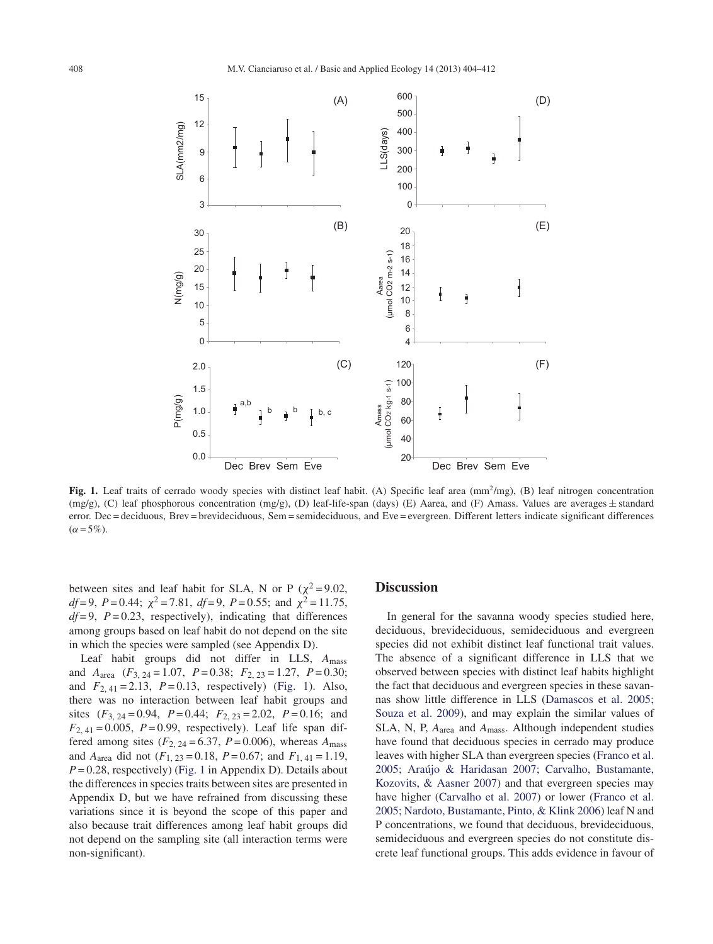<span id="page-4-0"></span>

**Fig. 1.** Leaf traits of cerrado woody species with distinct leaf habit. (A) Specific leaf area (mm<sup>2</sup>/mg), (B) leaf nitrogen concentration  $(mg/g)$ , (C) leaf phosphorous concentration (mg/g), (D) leaf-life-span (days) (E) Aarea, and (F) Amass. Values are averages  $\pm$  standard error. Dec = deciduous, Brev = brevideciduous, Sem = semideciduous, and Eve = evergreen. Different letters indicate significant differences  $(\alpha = 5\%)$ .

between sites and leaf habit for SLA, N or P ( $\chi^2$  = 9.02,  $df=9$ ,  $P=0.44$ ;  $\chi^2 = 7.81$ ,  $df=9$ ,  $P=0.55$ ; and  $\chi^2 = 11.75$ ,  $df=9$ ,  $P=0.23$ , respectively), indicating that differences among groups based on leaf habit do not depend on the site in which the species were sampled (see Appendix D).

Leaf habit groups did not differ in LLS, *A*mass and *A*area (*F*3, 24 = 1.07, *P* = 0.38; *F*2, 23 = 1.27, *P* = 0.30; and  $F_{2,41} = 2.13$ ,  $P = 0.13$ , respectively) (Fig. 1). Also, there was no interaction between leaf habit groups and sites  $(F_3 \t24 = 0.94, P = 0.44; F_2 \t23 = 2.02, P = 0.16;$  and  $F_{2,41} = 0.005$ ,  $P = 0.99$ , respectively). Leaf life span differed among sites  $(F_{2, 24} = 6.37, P = 0.006)$ , whereas  $A_{\text{mass}}$ and  $A_{area}$  did not  $(F_{1, 23} = 0.18, P = 0.67;$  and  $F_{1, 41} = 1.19$ ,  $P = 0.28$ , respectively) (Fig. 1 in Appendix D). Details about the differences in species traits between sites are presented in Appendix D, but we have refrained from discussing these variations since it is beyond the scope of this paper and also because trait differences among leaf habit groups did not depend on the sampling site (all interaction terms were non-significant).

#### **Discussion**

In general for the savanna woody species studied here, deciduous, brevideciduous, semideciduous and evergreen species did not exhibit distinct leaf functional trait values. The absence of a significant difference in LLS that we observed between species with distinct leaf habits highlight the fact that deciduous and evergreen species in these savannas show little difference in LLS ([Damascos et al. 2005;](#page-6-0) [Souza et al. 2009\),](#page-6-0) and may explain the similar values of SLA, N, P, *A*area and *A*mass. Although independent studies have found that deciduous species in cerrado may produce leaves with higher SLA than evergreen species ([Franco et al.](#page-6-0) [2005; Araújo & Haridasan 2007; Carvalho, Bustamante,](#page-6-0) [Kozovits, & Aasner 2007\)](#page-6-0) and that evergreen species may have higher [\(Carvalho et al. 2007\)](#page-6-0) or lower ([Franco et al.](#page-6-0) [2005; Nardoto, Bustamante, Pinto, & Klink 2006\)](#page-6-0) leaf N and P concentrations, we found that deciduous, brevideciduous, semideciduous and evergreen species do not constitute discrete leaf functional groups. This adds evidence in favour of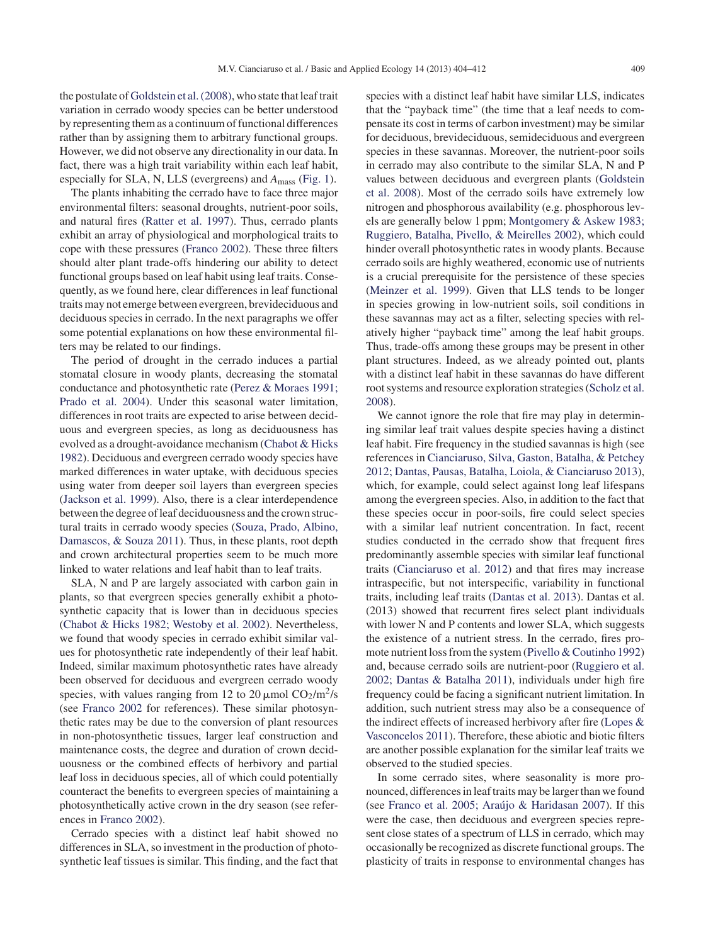the postulate of [Goldstein et al. \(2008\), w](#page-6-0)ho state that leaf trait variation in cerrado woody species can be better understood by representing them as a continuum of functional differences rather than by assigning them to arbitrary functional groups. However, we did not observe any directionality in our data. In fact, there was a high trait variability within each leaf habit, especially for SLA, N, LLS (evergreens) and *A*mass [\(Fig. 1\).](#page-4-0)

The plants inhabiting the cerrado have to face three major environmental filters: seasonal droughts, nutrient-poor soils, and natural fires [\(Ratter et al. 1997\).](#page-7-0) Thus, cerrado plants exhibit an array of physiological and morphological traits to cope with these pressures ([Franco 2002\).](#page-6-0) These three filters should alter plant trade-offs hindering our ability to detect functional groups based on leaf habit using leaf traits. Consequently, as we found here, clear differences in leaf functional traits may not emerge between evergreen, brevideciduous and deciduous species in cerrado. In the next paragraphs we offer some potential explanations on how these environmental filters may be related to our findings.

The period of drought in the cerrado induces a partial stomatal closure in woody plants, decreasing the stomatal conductance and photosynthetic rate ([Perez & Moraes 1991;](#page-7-0) [Prado et al. 2004\).](#page-7-0) Under this seasonal water limitation, differences in root traits are expected to arise between deciduous and evergreen species, as long as deciduousness has evolved as a drought-avoidance mechanism [\(Chabot & Hicks](#page-6-0) [1982\).](#page-6-0) Deciduous and evergreen cerrado woody species have marked differences in water uptake, with deciduous species using water from deeper soil layers than evergreen species ([Jackson et al. 1999\).](#page-6-0) Also, there is a clear interdependence between the degree of leaf deciduousness and the crown structural traits in cerrado woody species ([Souza, Prado, Albino,](#page-7-0) [Damascos, & Souza 2011\).](#page-7-0) Thus, in these plants, root depth and crown architectural properties seem to be much more linked to water relations and leaf habit than to leaf traits.

SLA, N and P are largely associated with carbon gain in plants, so that evergreen species generally exhibit a photosynthetic capacity that is lower than in deciduous species ([Chabot & Hicks 1982; Westoby et al. 2002\).](#page-6-0) Nevertheless, we found that woody species in cerrado exhibit similar values for photosynthetic rate independently of their leaf habit. Indeed, similar maximum photosynthetic rates have already been observed for deciduous and evergreen cerrado woody species, with values ranging from 12 to 20  $\mu$ mol CO<sub>2</sub>/m<sup>2</sup>/s (see [Franco 2002](#page-6-0) for references). These similar photosynthetic rates may be due to the conversion of plant resources in non-photosynthetic tissues, larger leaf construction and maintenance costs, the degree and duration of crown deciduousness or the combined effects of herbivory and partial leaf loss in deciduous species, all of which could potentially counteract the benefits to evergreen species of maintaining a photosynthetically active crown in the dry season (see references in [Franco 2002\).](#page-6-0)

Cerrado species with a distinct leaf habit showed no differences in SLA, so investment in the production of photosynthetic leaf tissues is similar. This finding, and the fact that species with a distinct leaf habit have similar LLS, indicates that the "payback time" (the time that a leaf needs to compensate its cost in terms of carbon investment) may be similar for deciduous, brevideciduous, semideciduous and evergreen species in these savannas. Moreover, the nutrient-poor soils in cerrado may also contribute to the similar SLA, N and P values between deciduous and evergreen plants [\(Goldstein](#page-6-0) [et al. 2008\).](#page-6-0) Most of the cerrado soils have extremely low nitrogen and phosphorous availability (e.g. phosphorous levels are generally below 1 ppm; [Montgomery & Askew 1983;](#page-7-0) [Ruggiero, Batalha, Pivello, & Meirelles 2002\),](#page-7-0) which could hinder overall photosynthetic rates in woody plants. Because cerrado soils are highly weathered, economic use of nutrients is a crucial prerequisite for the persistence of these species ([Meinzer et al. 1999\).](#page-7-0) Given that LLS tends to be longer in species growing in low-nutrient soils, soil conditions in these savannas may act as a filter, selecting species with relatively higher "payback time" among the leaf habit groups. Thus, trade-offs among these groups may be present in other plant structures. Indeed, as we already pointed out, plants with a distinct leaf habit in these savannas do have different root systems and resource exploration strategies [\(Scholz et al.](#page-7-0) [2008\).](#page-7-0)

We cannot ignore the role that fire may play in determining similar leaf trait values despite species having a distinct leaf habit. Fire frequency in the studied savannas is high (see references in [Cianciaruso, Silva, Gaston, Batalha, & Petchey](#page-6-0) [2012; Dantas, Pausas, Batalha, Loiola, & Cianciaruso 2013\),](#page-6-0) which, for example, could select against long leaf lifespans among the evergreen species. Also, in addition to the fact that these species occur in poor-soils, fire could select species with a similar leaf nutrient concentration. In fact, recent studies conducted in the cerrado show that frequent fires predominantly assemble species with similar leaf functional traits [\(Cianciaruso et al. 2012\)](#page-6-0) and that fires may increase intraspecific, but not interspecific, variability in functional traits, including leaf traits [\(Dantas et al. 2013\).](#page-6-0) Dantas et al. (2013) showed that recurrent fires select plant individuals with lower N and P contents and lower SLA, which suggests the existence of a nutrient stress. In the cerrado, fires promote nutrient loss from the system [\(Pivello & Coutinho 1992\)](#page-7-0) and, because cerrado soils are nutrient-poor ([Ruggiero et al.](#page-7-0) [2002; Dantas & Batalha 2011\),](#page-7-0) individuals under high fire frequency could be facing a significant nutrient limitation. In addition, such nutrient stress may also be a consequence of the indirect effects of increased herbivory after fire ([Lopes &](#page-7-0) [Vasconcelos 2011\).](#page-7-0) Therefore, these abiotic and biotic filters are another possible explanation for the similar leaf traits we observed to the studied species.

In some cerrado sites, where seasonality is more pronounced, differences in leaf traits may be larger than we found (see [Franco et al. 2005; Araújo & Haridasan 2007\).](#page-6-0) If this were the case, then deciduous and evergreen species represent close states of a spectrum of LLS in cerrado, which may occasionally be recognized as discrete functional groups. The plasticity of traits in response to environmental changes has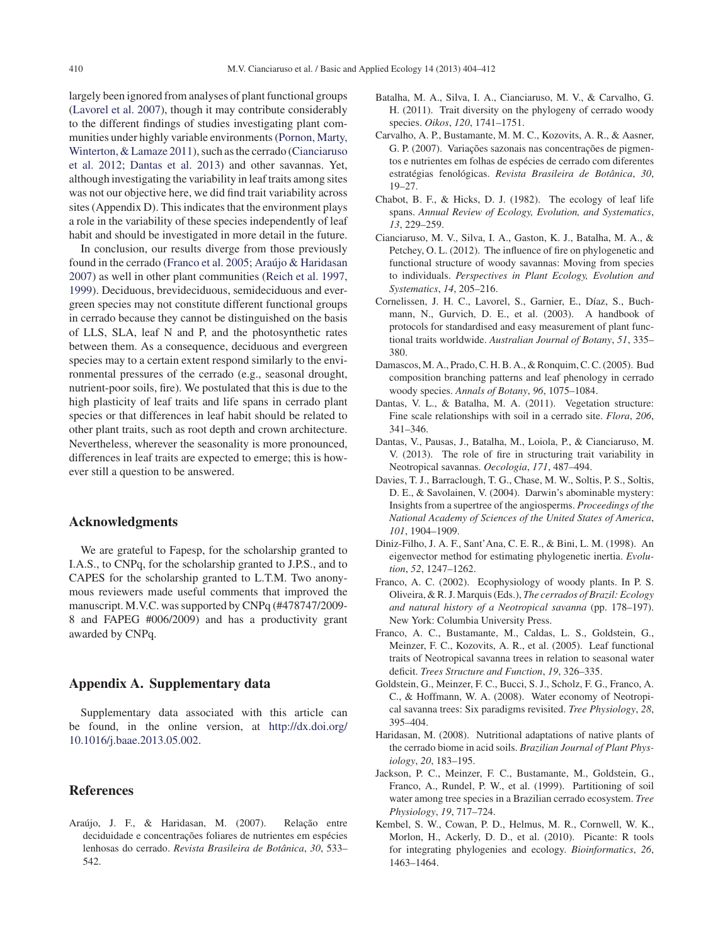<span id="page-6-0"></span>largely been ignored from analyses of plant functional groups [\(Lavorel et al. 2007\),](#page-7-0) though it may contribute considerably to the different findings of studies investigating plant communities under highly variable environments ([Pornon, Marty,](#page-7-0) [Winterton, & Lamaze 2011\),](#page-7-0) such as the cerrado (Cianciaruso et al. 2012; Dantas et al. 2013) and other savannas. Yet, although investigating the variability in leaf traits among sites was not our objective here, we did find trait variability across sites (Appendix D). This indicates that the environment plays a role in the variability of these species independently of leaf habit and should be investigated in more detail in the future.

In conclusion, our results diverge from those previously found in the cerrado (Franco et al. 2005; Araújo & Haridasan 2007) as well in other plant communities ([Reich et al. 1997,](#page-7-0) [1999\).](#page-7-0) Deciduous, brevideciduous, semideciduous and evergreen species may not constitute different functional groups in cerrado because they cannot be distinguished on the basis of LLS, SLA, leaf N and P, and the photosynthetic rates between them. As a consequence, deciduous and evergreen species may to a certain extent respond similarly to the environmental pressures of the cerrado (e.g., seasonal drought, nutrient-poor soils, fire). We postulated that this is due to the high plasticity of leaf traits and life spans in cerrado plant species or that differences in leaf habit should be related to other plant traits, such as root depth and crown architecture. Nevertheless, wherever the seasonality is more pronounced, differences in leaf traits are expected to emerge; this is however still a question to be answered.

### **Acknowledgments**

We are grateful to Fapesp, for the scholarship granted to I.A.S., to CNPq, for the scholarship granted to J.P.S., and to CAPES for the scholarship granted to L.T.M. Two anonymous reviewers made useful comments that improved the manuscript. M.V.C. was supported by CNPq (#478747/2009- 8 and FAPEG #006/2009) and has a productivity grant awarded by CNPq.

### **Appendix A. Supplementary data**

Supplementary data associated with this article can be found, in the online version, at [http://dx.doi.org/](http://dx.doi.org/10.1016/j.baae.2013.05.002) [10.1016/j.baae.2013.05.002.](http://dx.doi.org/10.1016/j.baae.2013.05.002)

## **References**

Araújo, J. F., & Haridasan, M. (2007). Relação entre deciduidade e concentrações foliares de nutrientes em espécies lenhosas do cerrado. *Revista Brasileira de Botânica*, *30*, 533– 542.

- Batalha, M. A., Silva, I. A., Cianciaruso, M. V., & Carvalho, G. H. (2011). Trait diversity on the phylogeny of cerrado woody species. *Oikos*, *120*, 1741–1751.
- Carvalho, A. P., Bustamante, M. M. C., Kozovits, A. R., & Aasner, G. P. (2007). Variações sazonais nas concentrações de pigmentos e nutrientes em folhas de espécies de cerrado com diferentes estratégias fenológicas. *Revista Brasileira de Botânica*, *30*, 19–27.
- Chabot, B. F., & Hicks, D. J. (1982). The ecology of leaf life spans. *Annual Review of Ecology, Evolution, and Systematics*, *13*, 229–259.
- Cianciaruso, M. V., Silva, I. A., Gaston, K. J., Batalha, M. A., & Petchey, O. L. (2012). The influence of fire on phylogenetic and functional structure of woody savannas: Moving from species to individuals. *Perspectives in Plant Ecology, Evolution and Systematics*, *14*, 205–216.
- Cornelissen, J. H. C., Lavorel, S., Garnier, E., Díaz, S., Buchmann, N., Gurvich, D. E., et al. (2003). A handbook of protocols for standardised and easy measurement of plant functional traits worldwide. *Australian Journal of Botany*, *51*, 335– 380.
- Damascos, M. A., Prado, C. H. B. A., & Ronquim, C. C. (2005). Bud composition branching patterns and leaf phenology in cerrado woody species. *Annals of Botany*, *96*, 1075–1084.
- Dantas, V. L., & Batalha, M. A. (2011). Vegetation structure: Fine scale relationships with soil in a cerrado site. *Flora*, *206*, 341–346.
- Dantas, V., Pausas, J., Batalha, M., Loiola, P., & Cianciaruso, M. V. (2013). The role of fire in structuring trait variability in Neotropical savannas. *Oecologia*, *171*, 487–494.
- Davies, T. J., Barraclough, T. G., Chase, M. W., Soltis, P. S., Soltis, D. E., & Savolainen, V. (2004). Darwin's abominable mystery: Insights from a supertree of the angiosperms. *Proceedings of the National Academy of Sciences of the United States of America*, *101*, 1904–1909.
- Diniz-Filho, J. A. F., Sant'Ana, C. E. R., & Bini, L. M. (1998). An eigenvector method for estimating phylogenetic inertia. *Evolution*, *52*, 1247–1262.
- Franco, A. C. (2002). Ecophysiology of woody plants. In P. S. Oliveira, & R. J. Marquis (Eds.), *The cerrados of Brazil: Ecology and natural history of a Neotropical savanna* (pp. 178–197). New York: Columbia University Press.
- Franco, A. C., Bustamante, M., Caldas, L. S., Goldstein, G., Meinzer, F. C., Kozovits, A. R., et al. (2005). Leaf functional traits of Neotropical savanna trees in relation to seasonal water deficit. *Trees Structure and Function*, *19*, 326–335.
- Goldstein, G., Meinzer, F. C., Bucci, S. J., Scholz, F. G., Franco, A. C., & Hoffmann, W. A. (2008). Water economy of Neotropical savanna trees: Six paradigms revisited. *Tree Physiology*, *28*, 395–404.
- Haridasan, M. (2008). Nutritional adaptations of native plants of the cerrado biome in acid soils. *Brazilian Journal of Plant Physiology*, *20*, 183–195.
- Jackson, P. C., Meinzer, F. C., Bustamante, M., Goldstein, G., Franco, A., Rundel, P. W., et al. (1999). Partitioning of soil water among tree species in a Brazilian cerrado ecosystem. *Tree Physiology*, *19*, 717–724.
- Kembel, S. W., Cowan, P. D., Helmus, M. R., Cornwell, W. K., Morlon, H., Ackerly, D. D., et al. (2010). Picante: R tools for integrating phylogenies and ecology. *Bioinformatics*, *26*, 1463–1464.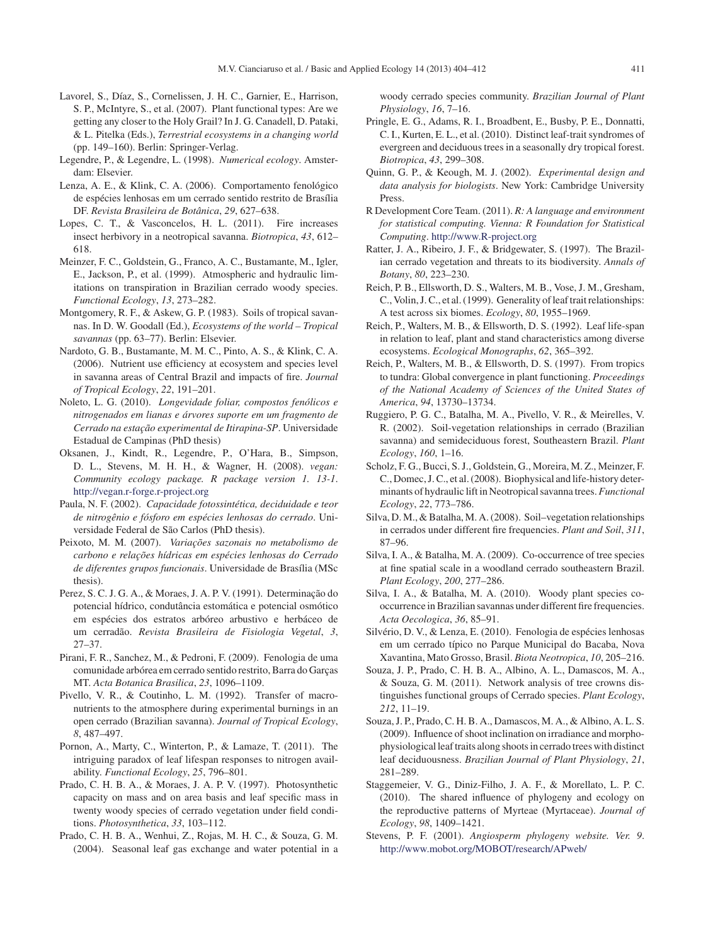- <span id="page-7-0"></span>Lavorel, S., Díaz, S., Cornelissen, J. H. C., Garnier, E., Harrison, S. P., McIntyre, S., et al. (2007). Plant functional types: Are we getting any closer to the Holy Grail? In J. G. Canadell, D. Pataki, & L. Pitelka (Eds.), *Terrestrial ecosystems in a changing world* (pp. 149–160). Berlin: Springer-Verlag.
- Legendre, P., & Legendre, L. (1998). *Numerical ecology*. Amsterdam: Elsevier.
- Lenza, A. E., & Klink, C. A. (2006). Comportamento fenológico de espécies lenhosas em um cerrado sentido restrito de Brasília DF. *Revista Brasileira de Botânica*, *29*, 627–638.
- Lopes, C. T., & Vasconcelos, H. L. (2011). Fire increases insect herbivory in a neotropical savanna. *Biotropica*, *43*, 612– 618.
- Meinzer, F. C., Goldstein, G., Franco, A. C., Bustamante, M., Igler, E., Jackson, P., et al. (1999). Atmospheric and hydraulic limitations on transpiration in Brazilian cerrado woody species. *Functional Ecology*, *13*, 273–282.
- Montgomery, R. F., & Askew, G. P. (1983). Soils of tropical savannas. In D. W. Goodall (Ed.), *Ecosystems of the world – Tropical savannas* (pp. 63–77). Berlin: Elsevier.
- Nardoto, G. B., Bustamante, M. M. C., Pinto, A. S., & Klink, C. A. (2006). Nutrient use efficiency at ecosystem and species level in savanna areas of Central Brazil and impacts of fire. *Journal of Tropical Ecology*, *22*, 191–201.
- Noleto, L. G. (2010). *Longevidade foliar, compostos fenólicos e nitrogenados em lianas e árvores suporte em um fragmento de Cerrado na esta¸cão experimental de Itirapina-SP*. Universidade Estadual de Campinas (PhD thesis)
- Oksanen, J., Kindt, R., Legendre, P., O'Hara, B., Simpson, D. L., Stevens, M. H. H., & Wagner, H. (2008). *vegan: Community ecology package. R package version 1. 13-1*. [http://vegan.r-forge.r-project.org](http://vegan.r-forge.r-project.org/)
- Paula, N. F. (2002). *Capacidade fotossintética, deciduidade e teor de nitrogênio e fósforo em espécies lenhosas do cerrado*. Universidade Federal de São Carlos (PhD thesis).
- Peixoto, M. M. (2007). *Variações sazonais no metabolismo de carbono e rela¸cões hídricas em espécies lenhosas do Cerrado de diferentes grupos funcionais*. Universidade de Brasília (MSc thesis).
- Perez, S. C. J. G. A., & Moraes, J. A. P. V. (1991). Determinação do potencial hídrico, condutância estomática e potencial osmótico em espécies dos estratos arbóreo arbustivo e herbáceo de um cerradão. *Revista Brasileira de Fisiologia Vegetal*, *3*, 27–37.
- Pirani, F. R., Sanchez, M., & Pedroni, F. (2009). Fenologia de uma comunidade arbórea em cerrado sentido restrito, Barra do Garcas MT. *Acta Botanica Brasilica*, *23*, 1096–1109.
- Pivello, V. R., & Coutinho, L. M. (1992). Transfer of macronutrients to the atmosphere during experimental burnings in an open cerrado (Brazilian savanna). *Journal of Tropical Ecology*, *8*, 487–497.
- Pornon, A., Marty, C., Winterton, P., & Lamaze, T. (2011). The intriguing paradox of leaf lifespan responses to nitrogen availability. *Functional Ecology*, *25*, 796–801.
- Prado, C. H. B. A., & Moraes, J. A. P. V. (1997). Photosynthetic capacity on mass and on area basis and leaf specific mass in twenty woody species of cerrado vegetation under field conditions. *Photosynthetica*, *33*, 103–112.
- Prado, C. H. B. A., Wenhui, Z., Rojas, M. H. C., & Souza, G. M. (2004). Seasonal leaf gas exchange and water potential in a

woody cerrado species community. *Brazilian Journal of Plant Physiology*, *16*, 7–16.

- Pringle, E. G., Adams, R. I., Broadbent, E., Busby, P. E., Donnatti, C. I., Kurten, E. L., et al. (2010). Distinct leaf-trait syndromes of evergreen and deciduous trees in a seasonally dry tropical forest. *Biotropica*, *43*, 299–308.
- Quinn, G. P., & Keough, M. J. (2002). *Experimental design and data analysis for biologists*. New York: Cambridge University Press.
- R Development Core Team. (2011). *R: A language and environment for statistical computing. Vienna: R Foundation for Statistical Computing*. [http://www.R-project.org](http://www.r-project.org/)
- Ratter, J. A., Ribeiro, J. F., & Bridgewater, S. (1997). The Brazilian cerrado vegetation and threats to its biodiversity. *Annals of Botany*, *80*, 223–230.
- Reich, P. B., Ellsworth, D. S., Walters, M. B., Vose, J. M., Gresham, C., Volin, J. C., et al. (1999). Generality of leaf trait relationships: A test across six biomes. *Ecology*, *80*, 1955–1969.
- Reich, P., Walters, M. B., & Ellsworth, D. S. (1992). Leaf life-span in relation to leaf, plant and stand characteristics among diverse ecosystems. *Ecological Monographs*, *62*, 365–392.
- Reich, P., Walters, M. B., & Ellsworth, D. S. (1997). From tropics to tundra: Global convergence in plant functioning. *Proceedings of the National Academy of Sciences of the United States of America*, *94*, 13730–13734.
- Ruggiero, P. G. C., Batalha, M. A., Pivello, V. R., & Meirelles, V. R. (2002). Soil-vegetation relationships in cerrado (Brazilian savanna) and semideciduous forest, Southeastern Brazil. *Plant Ecology*, *160*, 1–16.
- Scholz, F. G., Bucci, S. J., Goldstein, G., Moreira, M. Z., Meinzer, F. C., Domec, J. C., et al. (2008). Biophysical and life-history determinants of hydraulic lift in Neotropical savanna trees.*Functional Ecology*, *22*, 773–786.
- Silva, D. M., & Batalha, M. A. (2008). Soil–vegetation relationships in cerrados under different fire frequencies. *Plant and Soil*, *311*, 87–96.
- Silva, I. A., & Batalha, M. A. (2009). Co-occurrence of tree species at fine spatial scale in a woodland cerrado southeastern Brazil. *Plant Ecology*, *200*, 277–286.
- Silva, I. A., & Batalha, M. A. (2010). Woody plant species cooccurrence in Brazilian savannas under different fire frequencies. *Acta Oecologica*, *36*, 85–91.
- Silvério, D. V., & Lenza, E. (2010). Fenologia de espécies lenhosas em um cerrado típico no Parque Municipal do Bacaba, Nova Xavantina, Mato Grosso, Brasil. *Biota Neotropica*, *10*, 205–216.
- Souza, J. P., Prado, C. H. B. A., Albino, A. L., Damascos, M. A., & Souza, G. M. (2011). Network analysis of tree crowns distinguishes functional groups of Cerrado species. *Plant Ecology*, *212*, 11–19.
- Souza, J. P., Prado, C. H. B. A., Damascos, M. A., & Albino, A. L. S. (2009). Influence of shoot inclination on irradiance and morphophysiological leaf traits along shoots in cerrado trees with distinct leaf deciduousness. *Brazilian Journal of Plant Physiology*, *21*, 281–289.
- Staggemeier, V. G., Diniz-Filho, J. A. F., & Morellato, L. P. C. (2010). The shared influence of phylogeny and ecology on the reproductive patterns of Myrteae (Myrtaceae). *Journal of Ecology*, *98*, 1409–1421.
- Stevens, P. F. (2001). *Angiosperm phylogeny website. Ver. 9*. <http://www.mobot.org/MOBOT/research/APweb/>